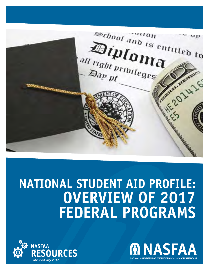

# **NATIONAL STUDENT AID PROFILE: OVERVIEW OF 2017 FEDERAL PROGRAMS**



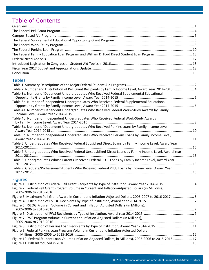# Table of Contents

| The Federal Family Education Loan Program and William D. Ford Direct Student Loan Program 13 |  |
|----------------------------------------------------------------------------------------------|--|
|                                                                                              |  |
|                                                                                              |  |
|                                                                                              |  |
|                                                                                              |  |

## *Tables*

| Table 2. Number and Distribution of Pell Grant Recipients by Family Income Level, Award Year 2014-2015  4    |  |
|--------------------------------------------------------------------------------------------------------------|--|
| Table 3a. Number of Dependent Undergraduates Who Received Federal Supplemental Educational                   |  |
|                                                                                                              |  |
| Table 3b. Number of Independent Undergraduates Who Received Federal Supplemental Educational                 |  |
|                                                                                                              |  |
| Table 4a. Number of Dependent Undergraduates Who Received Federal Work-Study Awards by Family                |  |
| Table 4b. Number of Independent Undergraduates Who Received Federal Work-Study Awards                        |  |
| Table 5a. Number of Dependent Undergraduates Who Received Perkins Loans by Family Income Level,              |  |
| Table 5b. Number of Independent Undergraduates Who Received Perkins Loans by Family Income Level,            |  |
| Table 6. Undergraduates Who Received Federal Subsidized Direct Loans by Family Income Level, Award Year      |  |
| Table 7. Undergraduates Who Received Federal Unsubsidized Direct Loans by Family Income Level, Award Year    |  |
| Table 8. Undergraduates Whose Parents Received Federal PLUS Loans by Family Income Level, Award Year         |  |
| Table 9. Graduate/Professional Students Who Received Federal PLUS Loans by Income Level, Award Year          |  |
| <b>Figures</b>                                                                                               |  |
| Figure 1. Distribution of Federal Pell Grant Recipients by Type of Institution, Award Year 2014-2015  4      |  |
| Figure 2. Federal Pell Grant Program Volume in Current and Inflation-Adjusted Dollars (in Millions),         |  |
|                                                                                                              |  |
| Figure 3. Maximum Pell Grant Award in Current and Inflation-Adjusted Dollars, 2006-2007 to 2016-2017  5      |  |
|                                                                                                              |  |
| Figure 5. FSEOG Program Volume in Current and Inflation Adjusted Dollars (in Millions),                      |  |
|                                                                                                              |  |
|                                                                                                              |  |
| Figure 7. FWS Program Volume in Current and Inflation-Adjusted Dollars (in Millions),                        |  |
|                                                                                                              |  |
| Figure 9. Federal Perkins Loan Program Volume in Current and Inflation-Adjusted Dollars                      |  |
|                                                                                                              |  |
| Figure 10. Federal Student Loan Volume (Inflation-Adjusted Dollars, in Millions), 2005-2006 to 2015-2016  17 |  |
|                                                                                                              |  |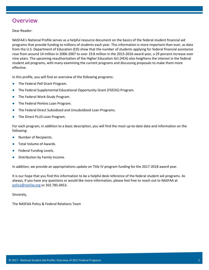## **Overview**

Dear Reader:

NASFAA's National Profile serves as a helpful resource document on the basics of the federal student financial aid programs that provide funding to millions of students each year. This information is more important than ever, as data from the U.S. Department of Education (ED) show that the number of students applying for federal financial assistance rose from around 14 million in 2006-2007 to over 19.8 million in the 2015-2016 award year, a 29 percent increase over nine years. The upcoming reauthorization of the Higher Education Act (HEA) also heightens the interest in the federal student aid programs, with many examining the current programs and discussing proposals to make them more effective.

In this profile, you will find an overview of the following programs:

- The Federal Pell Grant Program.
- The Federal Supplemental Educational Opportunity Grant (FSEOG) Program.
- The Federal Work-Study Program.
- The Federal Perkins Loan Program.
- The Federal Direct Subsidized and Unsubsidized Loan Programs.
- The Direct PLUS Loan Program.

For each program, in addition to a basic description, you will find the most up-to-date data and information on the following:

- Number of Recipients.
- Total Volume of Awards.
- Federal Funding Levels.
- Distribution by Family Income.

In addition, we provide an appropriations update on Title IV program funding for the 2017-2018 award year.

It is our hope that you find this information to be a helpful desk reference of the federal student aid programs. As always, if you have any questions or would like more information, please feel free to reach out to NASFAA at [policy@nasfaa.org](mailto:policy@nasfaa.org) or 202.785.0453.

Sincerely,

The NASFAA Policy & Federal Relations Team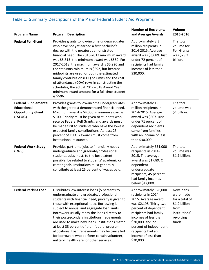| <b>Program Name</b>                                                                      | <b>Program Description</b>                                                                                                                                                                                                                                                                                                                                                                                                                                                                                                                                                                   | <b>Number of Recipients</b><br>and Average Awards                                                                                                                                                                                                                              | Volume<br>2015-2016                                                                                       |
|------------------------------------------------------------------------------------------|----------------------------------------------------------------------------------------------------------------------------------------------------------------------------------------------------------------------------------------------------------------------------------------------------------------------------------------------------------------------------------------------------------------------------------------------------------------------------------------------------------------------------------------------------------------------------------------------|--------------------------------------------------------------------------------------------------------------------------------------------------------------------------------------------------------------------------------------------------------------------------------|-----------------------------------------------------------------------------------------------------------|
| <b>Federal Pell Grant</b>                                                                | Provides grants to low-income undergraduates<br>who have not yet earned a first bachelor's<br>degree with the greatest demonstrated<br>financial need. The 2016-2017 maximum award<br>was \$5,815; the minimum award was \$589. For<br>2017-2018, the maximum award is \$5,920 and<br>the statutory minimum is \$592, but because<br>midpoints are used for both the estimated<br>family contribution (EFC) columns and the cost<br>of attendance (COA) rows in constructing the<br>schedules, the actual 2017-2018 Award Year<br>minimum award amount for a full-time student<br>is \$596.  | Approximately 8.3<br>million recipients in<br>2014-2015. Average<br>award was \$3,689. Just<br>under 72 percent of<br>recipients had family<br>incomes of less than<br>\$30,000.                                                                                               | The total<br>volume for<br><b>Pell Grants</b><br>was \$28.2<br>billion.                                   |
| <b>Federal Supplemental</b><br><b>Educational</b><br><b>Opportunity Grant</b><br>(FSEOG) | Provides grants to low-income undergraduates<br>with the greatest demonstrated financial need.<br>Maximum award is \$4,000; minimum award is<br>\$100. Priority must be given to students who<br>receive Federal Pell Grants, and awards must<br>be made first to students who have the lowest<br>expected family contributions. At least 25<br>percent of FSEOG awards must come from<br>institutional resources.                                                                                                                                                                           | Approximately 1.6<br>million recipients in<br>2014-2015. Average<br>award was \$607. Just<br>under 71 percent of<br>dependent recipients<br>came from families<br>with an income of less<br>than \$30,000.                                                                     | The total<br>volume was<br>\$1 billion.                                                                   |
| <b>Federal Work-Study</b><br>(FWS)                                                       | Provides part-time jobs to financially needy<br>undergraduate and graduate/professional<br>students. Jobs must, to the best extent<br>possible, be related to students' academic or<br>career goals. Institutions must generally<br>contribute at least 25 percent of wages paid.                                                                                                                                                                                                                                                                                                            | Approximately 651,000<br>recipients in 2014-<br>2015. The average<br>award was \$1,689. Of<br>dependent<br>undergraduate<br>recipients, 45 percent<br>had family incomes<br>below \$42,000.                                                                                    | The total<br>volume was<br>\$1.1 billion.                                                                 |
| <b>Federal Perkins Loan</b>                                                              | Distributes low-interest loans (5 percent) to<br>undergraduate and graduate/professional<br>students with financial need; priority is given to<br>those with exceptional need. Borrowing is<br>subject to annual and aggregate loan limits.<br>Borrowers usually repay the loans directly to<br>their postsecondary institutions; repayments<br>are used to make new loans. Institutions match<br>at least 33 percent of their federal program<br>allocations. Loan repayments may be cancelled<br>for borrowers who perform certain volunteer,<br>military, health care, or other services. | Approximately 528,000<br>recipients in 2014-<br>2015. Average award<br>was \$2,198. Thirty-two<br>percent of dependent<br>recipients had family<br>incomes of less than<br>\$30,000, and 72<br>percent of independent<br>recipients had an<br>income of less than<br>\$20,000. | New loans<br>were made<br>for a total of<br>\$1.2 billion<br>from<br>institutions'<br>revolving<br>funds. |

## *Table 1. Summary Descriptions of the Major Federal Student Aid Programs*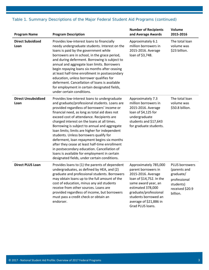| <b>Program Name</b>                | <b>Program Description</b>                                                                                                                                                                                                                                                                                                                                                                                                                                                                                                                                                                                                                                                            | <b>Number of Recipients</b><br>and Average Awards                                                                                                                                                                                         | Volume<br>2015-2016                                                                                     |
|------------------------------------|---------------------------------------------------------------------------------------------------------------------------------------------------------------------------------------------------------------------------------------------------------------------------------------------------------------------------------------------------------------------------------------------------------------------------------------------------------------------------------------------------------------------------------------------------------------------------------------------------------------------------------------------------------------------------------------|-------------------------------------------------------------------------------------------------------------------------------------------------------------------------------------------------------------------------------------------|---------------------------------------------------------------------------------------------------------|
| <b>Direct Subsidized</b><br>Loan   | Provides low-interest loans to financially<br>needy undergraduate students. Interest on the<br>loans is paid by the government while<br>borrowers are in school, in the grace period,<br>and during deferment. Borrowing is subject to<br>annual and aggregate loan limits. Borrowers<br>begin repaying loans six months after ceasing<br>at least half-time enrollment in postsecondary<br>education, unless borrower qualifies for<br>deferment. Cancellation of loans is available<br>for employment in certain designated fields,<br>under certain conditions.                                                                                                                    | Approximately 6.1<br>million borrowers in<br>2015-2016. Average<br>loan of \$3,748.                                                                                                                                                       | The total loan<br>volume was<br>\$23 billion.                                                           |
| <b>Direct Unsubsidized</b><br>Loan | Provides low-interest loans to undergraduate<br>and graduate/professional students. Loans are<br>provided regardless of borrowers' income or<br>financial need, as long as total aid does not<br>exceed cost of attendance. Recipients are<br>charged interest on the loans at all times.<br>Borrowing is subject to annual and aggregate<br>loan limits; limits are higher for independent<br>students. Unless borrowers qualify for<br>deferment, loan repayment begins six months<br>after they cease at least half-time enrollment<br>in postsecondary education. Cancellation of<br>loans is available for employment in certain<br>designated fields, under certain conditions. | Approximately 7.3<br>million borrowers in<br>2015-2016. Average<br>loan of \$4,125 for<br>undergraduate<br>students and \$17,643<br>for graduate students.                                                                                | The total loan<br>volume was<br>\$50.8 billion.                                                         |
| <b>Direct PLUS Loan</b>            | Provides loans to (1) the parents of dependent<br>undergraduates, as defined by HEA, and (2)<br>graduate and professional students. Borrowers<br>may obtain loans up to the full amount of the<br>cost of education, minus any aid students<br>receive from other sources. Loans are<br>provided regardless of income, but borrowers<br>must pass a credit check or obtain an<br>endorser.                                                                                                                                                                                                                                                                                            | Approximately 785,000<br>parent borrowers in<br>2015-2016. Average<br>loan of \$14,752. In the<br>same award year, an<br>estimated 378,000<br>graduate/professional<br>students borrowed an<br>average of \$21,886 in<br>Grad PLUS loans. | PLUS borrowers<br>(parents and<br>graduate/<br>professional<br>students)<br>received \$20.9<br>billion. |

## *Table 1. Summary Descriptions of the Major Federal Student Aid Programs (continued)*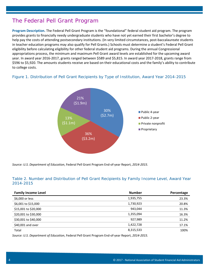## The Federal Pell Grant Program

**Program Description.** The Federal Pell Grant Program is the "foundational" federal student aid program. The program provides grants to financially needy undergraduate students who have not yet earned their first bachelor's degree to help pay the costs of attending postsecondary institutions. (In very limited circumstances, post-baccalaureate students in teacher education programs may also qualify for Pell Grants.) Schools must determine a student's Federal Pell Grant eligibility before calculating eligibility for other federal student aid programs. During the annual Congressional appropriations process, the minimum and maximum Pell Grant award levels are established for the upcoming award year. In award year 2016-2017, grants ranged between \$589 and \$5,815. In award year 2017-2018, grants range from \$596 to \$5,920. The amounts students receive are based on their educational costs and the family's ability to contribute to college costs.

## *Figure 1. Distribution of Pell Grant Recipients by Type of Institution, Award Year 2014-2015*



*Source: U.S. Department of Education*, Federal Pell Grant Program End-of-year Report, *2014-2015*.

## *Table 2. Number and Distribution of Pell Grant Recipients by Family Income Level, Award Year 2014-2015*

| <b>Family Income Level</b> | <b>Number</b>        | Percentage |
|----------------------------|----------------------|------------|
| \$6,000 or less            | 1,935,755            | 23.3%      |
| \$6,001 to \$15,000        | 1,730,923            | 20.8%      |
| \$15,001 to \$20,000       | 943,044              | 11.3%      |
| \$20,001 to \$30,000       | 1,355,094            | 16.3%      |
| \$30,001 to \$40,000       | 927,989              | 11.2%      |
| \$40,001 and over          | 1,422,728            | 17.1%      |
| Total                      | 8,315,533            | 100%       |
| .                          | ____________________ |            |

*Source: U.S. Department of Education*, Federal Pell Grant Program End-of-year Report, *2014-2015.*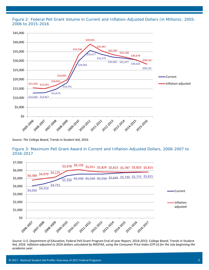*Figure 2: Federal Pell Grant Volume in Current and Inflation-Adjusted Dollars (in Millions), 2005- 2006 to 2015-2016*



*Source: The College Board*, Trends in Student Aid, *2016*.

Figure 3: Maximum Pell Grant Award in Current and Inflation-Adjusted Dollars, 2006-2007 to *2016-2017*



*Source: U.S. Department of Education,* Federal Pell Grant Program End-of-year Report, *2014-2015; College Board,* Trends in Student Aid, *2016. Inflation-adjusted to 2016 dollars calculated by NASFAA, using the Consumer Price Index (CPI-U) for the July beginning the academic year.*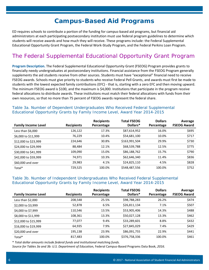# **Campus-Based Aid Programs**

ED requires schools to contribute a portion of the funding for campus-based aid programs, but financial aid administrators at each participating postsecondary institution must use federal program guidelines to determine which students will receive awards and how much they will receive. These programs include: the Federal Supplemental Educational Opportunity Grant Program, the Federal Work-Study Program, and the Federal Perkins Loan Program.

# The Federal Supplemental Educational Opportunity Grant Program

**Program Description.** The Federal Supplemental Educational Opportunity Grant (FSEOG) Program provides grants to financially needy undergraduates at postsecondary institutions. Financial assistance from the FSEOG Program generally supplements the aid students receive from other sources. Students must have "exceptional" financial need to receive FSEOG awards. Schools must give priority to students who receive Federal Pell Grants, and awards must first be made to students with the lowest expected family contributions (EFC) - that is, starting with a zero EFC and then moving upward. The minimum FSEOG award is \$100, and the maximum is \$4,000. Institutions that participate in the program receive federal allocations to distribute awards. These institutions must match their federal allocations with funds from their own resources, so that no more than 75 percent of FSEOG awards represent the federal share.

| <b>Family Income Level</b> | <b>Recipients</b> | <b>Recipients</b><br>Percentage | <b>Total FSEOG</b><br>Dollars* | <b>Dollars</b><br>Percentage | Average<br><b>FSEOG Award</b> |
|----------------------------|-------------------|---------------------------------|--------------------------------|------------------------------|-------------------------------|
| Less than \$6,000          | 126,122           | 17.3%                           | \$87,614,952                   | 16.0%                        | \$695                         |
| \$6,000 to \$11,999        | 76,229            | 10.4%                           | \$54,681,100                   | 10.0%                        | \$717                         |
| \$12,000 to \$23,999       | 224.646           | 30.8%                           | \$163,991,504                  | 29.9%                        | \$730                         |
| \$24,000 to \$29,999       | 88,484            | 12.1%                           | \$68,539,788                   | 12.5%                        | \$775                         |
| \$30,000 to \$41,999       | 109,090           | 15.0%                           | \$86,188,762                   | 15.7%                        | \$790                         |
| \$42,000 to \$59,999       | 74,971            | 10.3%                           | \$62,646,340                   | 11.4%                        | \$836                         |
| \$60,000 and over          | 29,983            | 4.1%                            | \$24,825,110                   | 4.5%                         | \$828                         |
| Total*                     | 729,525           | 100.0%                          | \$548,487,556                  | 100.0%                       | \$752                         |

#### *Table 3a. Number of Dependent Undergraduates Who Received Federal Supplemental Educational Opportunity Grants by Family Income Level, Award Year 2014-2015*

## *Table 3b. Number of Independent Undergraduates Who Received Federal Supplemental Educational Opportunity Grants by Family Income Level, Award Year 2014-2015*

| <b>Family Income Level</b> | <b>Recipients</b> | <b>Recipients</b><br>Percentage | <b>Total FSEOG</b><br>Dollars* | <b>Dollars</b><br>Percentage | Average<br><b>FSEOG Award</b> |
|----------------------------|-------------------|---------------------------------|--------------------------------|------------------------------|-------------------------------|
| Less than \$2,000          | 208,548           | 25.5%                           | \$98,788,283                   | 26.2%                        | \$474                         |
| \$2,000 to \$3,999         | 52,878            | 6.5%                            | \$26,811,134                   | 7.1%                         | \$507                         |
| \$4,000 to \$7,999         | 110,546           | 13.5%                           | \$53,905,406                   | 14.3%                        | \$488                         |
| \$8,000 to \$11,999        | 108,361           | 13.3%                           | \$50,027,128                   | 13.3%                        | \$462                         |
| \$12,000 to \$15,999       | 77,077            | 9.4%                            | \$33,289,601                   | 8.8%                         | \$432                         |
| \$16,000 to \$19,999       | 64,935            | 7.9%                            | \$27,845,029                   | 7.4%                         | \$429                         |
| \$20,000 and over          | 195,138           | 23.9%                           | \$86,091,755                   | 22.9%                        | \$441                         |
| Total*                     | 817.483           | 100.0%                          | \$376,758,336                  | 100.0%                       | \$461                         |

\* *Total dollar amounts include federal funds and institutional matching funds.*

*Source for Tables 3a and 3b: U.S. Department of Education,* Federal Campus-Based Programs Data Book, *2016*.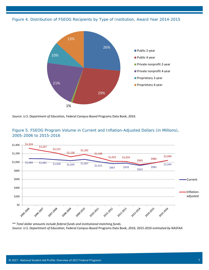*Figure 4. Distribution of FSEOG Recipients by Type of Institution, Award Year 2014-2015*









\*\* *Total dollar amounts include federal funds and institutional matching funds. Source: U.S. Department of Education,* Federal Campus-Based Programs Data Book, *2016; 2015-2016 estimated by NASFAA*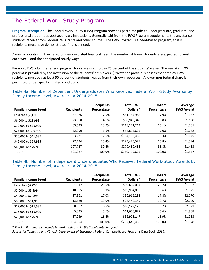## The Federal Work-Study Program

**Program Description.** The Federal Work-Study (FWS) Program provides part-time jobs to undergraduate, graduate, and professional students at postsecondary institutions. Generally, aid from the FWS Program supplements the assistance students receive from Federal Pell Grants and other sources. The FWS Program is a need-based program; that is, recipients must have demonstrated financial need.

Award amounts must be based on demonstrated financial need, the number of hours students are expected to work each week, and the anticipated hourly wage.

For most FWS jobs, the federal program funds are used to pay 75 percent of the students' wages. The remaining 25 percent is provided by the institution or the students' employers. (Private for-profit businesses that employ FWS recipients must pay at least 50 percent of students' wages from their own resources.) A lower non-federal share is permitted under specific limited conditions.

## *Table 4a. Number of Dependent Undergraduates Who Received Federal Work-Study Awards by Family Income Level, Award Year 2014-2015*

| <b>Family Income Level</b> | <b>Recipients</b> | <b>Recipients</b><br>Percentage | <b>Total FWS</b><br>Dollars* | <b>Dollars</b><br>Percentage | Average<br><b>FWS Award</b> |
|----------------------------|-------------------|---------------------------------|------------------------------|------------------------------|-----------------------------|
| Less than $$6,000$         | 37,386            | 7.5%                            | \$61,757,982                 | 7.9%                         | \$1,652                     |
| \$6,000 to \$11,999        | 23,050            | 4.6%                            | \$38,945,348                 | 5.0%                         | \$1,690                     |
| \$12,000 to \$23,999       | 69,529            | 13.9%                           | \$118,271,214                | 15.1%                        | \$1,701                     |
| \$24,000 to \$29,999       | 32,990            | 6.6%                            | \$54,833,625                 | 7.0%                         | \$1,662                     |
| \$30,000 to \$41,999       | 63,271            | 12.6%                           | \$104,106,469                | 13.3%                        | \$1,645                     |
| \$42,000 to \$59,999       | 77,434            | 15.4%                           | \$123,425,529                | 15.8%                        | \$1,594                     |
| \$60,000 and over          | 197,727           | 39.4%                           | \$279,459,458                | 35.8%                        | \$1,413                     |
| Total*                     | 501,387           | 100.0%                          | \$780,799,625                | 100.0%                       | \$1,557                     |

## *Table 4b. Number of Independent Undergraduates Who Received Federal Work-Study Awards by Family Income Level, Award Year 2014-2015*

| <b>Family Income Level</b> | <b>Recipients</b> | <b>Recipients</b><br>Percentage | <b>Total FWS</b><br>Dollars* | <b>Dollars</b><br>Percentage | Average<br><b>FWS Award</b> |
|----------------------------|-------------------|---------------------------------|------------------------------|------------------------------|-----------------------------|
| Less than $$2,000$         | 31,017            | 29.6%                           | \$59,614,034                 | 28.7%                        | \$1,922                     |
| \$2,000 to \$3,999         | 10,355            | 9.9%                            | \$19,934,895                 | 9.6%                         | \$1,925                     |
| \$4,000 to \$7,999         | 17,861            | 17.0%                           | \$36,965,282                 | 17.8%                        | \$2,070                     |
| \$8,000 to \$11,999        | 13,680            | 13.0%                           | \$28,440,149                 | 13.7%                        | \$2,079                     |
| \$12,000 to \$15,999       | 8,967             | 8.5%                            | \$18,122,126                 | 8.7%                         | \$2,021                     |
| \$16,000 to \$19,999       | 5,835             | 5.6%                            | \$11,600,827                 | 5.6%                         | \$1,988                     |
| \$20,000 and over          | 17,239            | 16.4%                           | \$32,971,147                 | 15.9%                        | \$1,913                     |
| Total*                     | 104.954           | 100.0%                          | \$207,648,460                | 100.0%                       | \$1,978                     |

\* *Total dollar amounts include federal funds and institutional matching funds.*

*Source for Tables 4a and 4b: U.S. Department of Education,* Federal Campus-Based Programs Data Book, *2016.*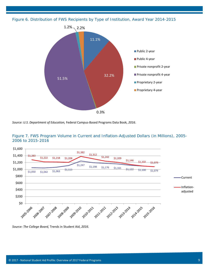*Figure 6. Distribution of FWS Recipients by Type of Institution, Award Year 2014-2015*









*Source: The College Board,* Trends in Student Aid, *2016.*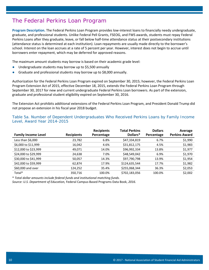## The Federal Perkins Loan Program

**Program Description.** The Federal Perkins Loan Program provides low-interest loans to financially needy undergraduate, graduate, and professional students. Unlike Federal Pell Grants, FSEOG, and FWS awards, students must repay Federal Perkins Loans after they graduate, leave, or fall below half-time attendance status at their postsecondary institutions (attendance status is determined at each institution). Loan repayments are usually made directly to the borrower's school. Interest on the loan accrues at a rate of 5 percent per year. However, interest does not begin to accrue until borrowers enter repayment, which may be deferred for approved reasons.

The maximum amount students may borrow is based on their academic grade level:

- Undergraduate students may borrow up to \$5,500 annually
- Graduate and professional students may borrow up to \$8,000 annually.

Authorization for the Federal Perkins Loan Program expired on September 30, 2015; however, the Federal Perkins Loan Program Extension Act of 2015, effective December 18, 2015, extends the Federal Perkins Loan Program through September 30, 2017 for new and current undergraduate Federal Perkins Loan borrowers. As part of the extension, graduate and professional student eligibility expired on September 30, 2016.

The Extension Act prohibits additional extensions of the Federal Perkins Loan Program, and President Donald Trump did not propose an extension in his fiscal year 2018 budget.

#### *Table 5a. Number of Dependent Undergraduates Who Received Perkins Loans by Family Income Level, Award Year 2014-2015*

| <b>Family Income Level</b> | <b>Recipients</b> | <b>Recipients</b><br>Percentage | <b>Total Perkins</b><br>Dollars* | <b>Dollars</b><br>Percentage | Average<br><b>Perkins Award</b> |
|----------------------------|-------------------|---------------------------------|----------------------------------|------------------------------|---------------------------------|
| Less than \$6,000          | 23,782            | 6.8%                            | \$47,334,819                     | 6.7%                         | \$1,990                         |
| \$6,000 to \$11,999        | 16,042            | 4.6%                            | \$31,812,175                     | 4.5%                         | \$1,983                         |
| \$12,000 to \$23,999       | 49.071            | 14.0%                           | \$96,992,334                     | 13.8%                        | \$1,977                         |
| \$24,000 to \$29,999       | 24,638            | 7.0%                            | \$48,549,042                     | 6.9%                         | \$1,970                         |
| \$30,000 to \$41,999       | 50,057            | 14.3%                           | \$97,790,798                     | 13.9%                        | \$1,954                         |
| \$42,000 to \$59,999       | 62.874            | 17.9%                           | \$124,635,544                    | 17.7%                        | \$1,982                         |
| \$60,000 and over          | 124,252           | 35.4%                           | \$255,068,344                    | 36.3%                        | \$2,053                         |
| Total*                     | 350,716           | 100.0%                          | \$702,183,056                    | 100.0%                       | \$2,002                         |

\* *Total dollar amounts include federal funds and institutional matching funds.*

*Source: U.S. Department of Education,* Federal Campus-Based Programs Data Book, *2016.*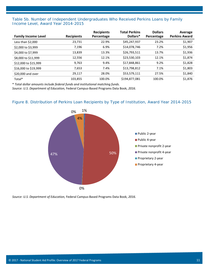## *Table 5b. Number of Independent Undergraduates Who Received Perkins Loans by Family Income Level, Award Year 2014-2015*

| <b>Family Income Level</b> | <b>Recipients</b> | <b>Recipients</b><br>Percentage | <b>Total Perkins</b><br>Dollars* | <b>Dollars</b><br>Percentage | Average<br><b>Perkins Award</b> |
|----------------------------|-------------------|---------------------------------|----------------------------------|------------------------------|---------------------------------|
| Less than \$2,000          | 23,731            | 22.9%                           | \$45,247,937                     | 23.2%                        | \$1,907                         |
| \$2,000 to \$3,999         | 7,196             | 6.9%                            | \$14,078,746                     | 7.2%                         | \$1,956                         |
| \$4,000 to \$7,999         | 13,839            | 13.3%                           | \$26,793,511                     | 13.7%                        | \$1,936                         |
| \$8,000 to \$11,999        | 12,556            | 12.1%                           | \$23,530,103                     | 12.1%                        | \$1,874                         |
| \$12,000 to \$15,999       | 9,763             | 9.4%                            | \$17,848,861                     | 9.2%                         | \$1,828                         |
| \$16,000 to \$19,999       | 7,653             | 7.4%                            | \$13,798,812                     | 7.1%                         | \$1,803                         |
| \$20,000 and over          | 29,117            | 28.0%                           | \$53,579,111                     | 27.5%                        | \$1,840                         |
| Total*                     | 103,855           | 100.0%                          | \$194,877,081                    | 100.0%                       | \$1,876                         |

\* *Total dollar amounts include federal funds and institutional matching funds.*

*Source: U.S. Department of Education,* Federal Campus-Based Programs Data Book, *2016.*

#### *Figure 8. Distribution of Perkins Loan Recipients by Type of Institution, Award Year 2014-2015*



*Source: U.S. Department of Education,* Federal Campus-Based Programs Data Book, *2016.*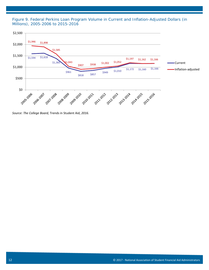*Figure 9. Federal Perkins Loan Program Volume in Current and Inflation-Adjusted Dollars (in Millions), 2005-2006 to 2015-2016*



*Source: The College Board,* Trends in Student Aid, *2016.*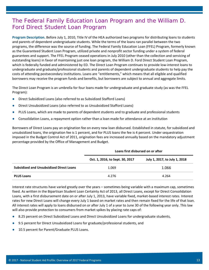# The Federal Family Education Loan Program and the William D. Ford Direct Student Loan Program

**Program Description.** Before July 1, 2010, Title IV of the HEA authorized two programs for distributing loans to students and parents of dependent undergraduate students. While the terms of the loans ran parallel between the two programs, the difference was the source of funding. The Federal Family Education Loan (FFEL) Program, formerly known as the Guaranteed Student Loan Program, utilized private and nonprofit sector funding under a system of federal guarantees and support. The FFEL Program ceased operations in July 2010 (other than the collection and servicing of outstanding loans) in favor of maintaining just one loan program, the William D. Ford Direct Student Loan Program, which is federally funded and administered by ED. The Direct Loan Program continues to provide low-interest loans to undergraduate and graduate/professional students and parents of dependent undergraduate students to help pay the costs of attending postsecondary institutions. Loans are "entitlements," which means that all eligible and qualified borrowers may receive the program funds and benefits, but borrowers are subject to annual and aggregate limits.

The Direct Loan Program is an umbrella for four loans made for undergraduate and graduate study (as was the FFEL Program):

- Direct Subsidized Loans (also referred to as Subsidized Stafford Loans)
- Direct Unsubsidized Loans (also referred to as Unsubsidized Stafford Loans)
- PLUS Loans, which are made to parents of dependent students and to graduate and professional students
- Consolidation Loans, a repayment option rather than a loan made for attendance at an institution

Borrowers of Direct Loans pay an origination fee on every new loan disbursed. Established in statute, for subsidized and unsubsidized loans, the origination fee is 1 percent, and for PLUS loans the fee is 4 percent. Under sequestration imposed in the Budget Control Act of 2011, origination fees are increased annually based on the mandatory adjustment percentage provided by the Office of Management and Budget.

|                                                 | Loans first disbursed on or after |                               |  |
|-------------------------------------------------|-----------------------------------|-------------------------------|--|
|                                                 | Oct. 1, 2016, to Sept. 30, 2017   | July 1, 2017, to July 1, 2018 |  |
| <b>Subsidized and Unsubsidized Direct Loans</b> | 1.069                             | 1.066                         |  |
| <b>PLUS Loans</b>                               | 4.276                             | 4.264                         |  |

Interest rate structures have varied greatly over the years – sometimes being variable with a maximum cap, sometimes fixed. As written in the Bipartisan Student Loan Certainty Act of 2013, all Direct Loans, except for Direct Consolidation Loans, with a first disbursement date on or after July 1, 2013, have variable fixed, market-based interest rates. Interest rates for new Direct Loans will change every July 1 based on market rates and then remain fixed for the life of that loan. All interest rates will apply to loans disbursed on or after July 1 of a year to June 30 of the following year only. This law will also provide protection to consumers from market spikes by placing rate caps of:

- 8.25 percent on Direct Subsidized Loans and Direct Unsubsidized Loans for undergraduate students,
- 9.5 percent for Direct Unsubsidized Loans for graduate/professional students, and
- 10.5 percent for Parent/Graduate PLUS Loans.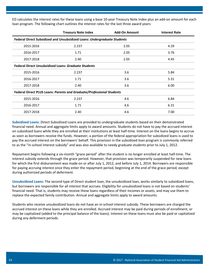ED calculates the interest rates for these loans using a base 10-year Treasury Note Index plus an add-on amount for each loan program. The following chart outlines the interest rates for the last three award years:

|                                                                       | <b>Treasury Note Index</b>                                               | <b>Add-On Amount</b> | <b>Interest Rate</b> |  |
|-----------------------------------------------------------------------|--------------------------------------------------------------------------|----------------------|----------------------|--|
|                                                                       | Federal Direct Subsidized and Unsubsidized Loans: Undergraduate Students |                      |                      |  |
| 2015-2016                                                             | 2.237                                                                    | 2.05                 | 4.29                 |  |
| 2016-2017                                                             | 1.71                                                                     | 2.05                 | 3.76                 |  |
| 2017-2018                                                             | 2.40                                                                     | 2.05                 | 4.45                 |  |
| <b>Federal Direct Unsubsidized Loans: Graduate Students</b>           |                                                                          |                      |                      |  |
| 2015-2016                                                             | 2.237                                                                    | 3.6                  | 5.84                 |  |
| 2016-2017                                                             | 1.71                                                                     | 3.6                  | 5.31                 |  |
| 2017-2018                                                             | 2.40                                                                     | 3.6                  | 6.00                 |  |
| Federal Direct PLUS Loans: Parents and Graduate/Professional Students |                                                                          |                      |                      |  |
| 2015-2016                                                             | 2.237                                                                    | 4.6                  | 6.84                 |  |
| 2016-2017                                                             | 1.71                                                                     | 4.6                  | 6.31                 |  |
| 2017-2018                                                             | 2.40                                                                     | 4.6                  | 7.00                 |  |

**Subsidized Loans:** Direct Subsidized Loans are provided to undergraduate students based on their demonstrated financial need. Annual and aggregate limits apply to award amounts. Students do not have to pay the accrued interest on subsidized loans while they are enrolled at their institutions at least half-time. Interest on the loans begins to accrue as soon as borrowers receive the funds. However, a portion of the federal appropriation for subsidized loans is used to pay the accrued interest on the borrowers' behalf. This provision in the subsidized loan program is commonly referred to as the "in-school interest subsidy" and was also available to needy graduate students prior to July 1, 2012.

Repayment begins following a six-month "grace period" after the student is no longer enrolled at least half-time. The interest subsidy extends through the grace period. However, that provision was temporarily suspended for new loans for which the first disbursement was made on or after July 1, 2012, and before July 1, 2014. Borrowers are responsible for paying accruing interest once they enter the repayment period, beginning at the end of the grace period, except during authorized periods of deferment.

**Unsubsidized Loans:** The second type of Direct student loan, the unsubsidized loan, works similarly to subsidized loans, but borrowers are responsible for all interest that accrues. Eligibility for unsubsidized loans is not based on students' financial need. That is, students may receive these loans regardless of their incomes or assets, and may use them to replace the expected family contribution. Annual and aggregate limits apply to award amounts.

Students who receive unsubsidized loans do not have an in-school interest subsidy. These borrowers are charged the accrued interest on these loans while they are enrolled. Accrued interest may be paid during periods of enrollment, or may be capitalized (added to the principal balance of the loans). Interest on these loans must also be paid or capitalized during any deferment periods.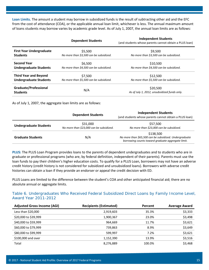**Loan Limits.** The amount a student may borrow in subsidized funds is the result of subtracting other aid and the EFC from the cost of attendance (COA), or the applicable annual loan limit, whichever is less. The annual maximum amount of loans students may borrow varies by academic grade level. As of July 1, 2007, the annual loan limits are as follows:

|                                          | <b>Dependent Students</b>               | <b>Independent Students</b><br>(and students whose parents cannot obtain a PLUS loan) |
|------------------------------------------|-----------------------------------------|---------------------------------------------------------------------------------------|
| <b>First Year Undergraduate</b>          | \$5.500                                 | \$9.500                                                                               |
| <b>Students</b>                          | No more than \$3,500 can be subsidized. | No more than \$3,500 can be subsidized.                                               |
| <b>Second Year</b>                       | \$6,500                                 | \$10,500                                                                              |
| Undergraduate Students                   | No more than \$4,500 can be subsidized. | No more than \$4,500 can be subsidized.                                               |
| <b>Third Year and Beyond</b>             | \$7.500                                 | \$12,500                                                                              |
| <b>Undergraduate Students</b>            | No more than \$5,500 can be subsidized. | No more than \$5,500 can be subsidized.                                               |
| Graduate/Professional<br><b>Students</b> | N/A                                     | \$20,500<br>As of July 1, 2012, unsubsidized funds only.                              |

As of July 1, 2007, the aggregate loan limits are as follows:

|                               | <b>Dependent Students</b>                            | <b>Independent Students</b><br>(and students whose parents cannot obtain a PLUS loan)                                    |
|-------------------------------|------------------------------------------------------|--------------------------------------------------------------------------------------------------------------------------|
| <b>Undergraduate Students</b> | \$31,000<br>No more than \$23,000 can be subsidized. | \$57,500<br>No more than \$23,000 can be subsidized.                                                                     |
| <b>Graduate Students</b>      | N/A                                                  | \$138,500<br>No more than \$65,500 can be subsidized. Undergraduate<br>borrowing counts toward graduate aggregate limit. |

**PLUS:** The PLUS Loan Program provides loans to the parents of dependent undergraduates and to students who are in graduate or professional programs (who are, by federal definition, independent of their parents). Parents must use the loan funds to pay their children's higher education costs. To qualify for a PLUS Loan, borrowers may not have an adverse credit history (credit history is not considered for subsidized and unsubsidized loans). Borrowers with adverse credit histories can obtain a loan if they provide an endorser or appeal the credit decision with ED.

PLUS Loans are limited to the difference between the student's COA and other anticipated financial aid; there are no absolute annual or aggregate limits.

## *Table 6. Undergraduates Who Received Federal Subsidized Direct Loans by Family Income Level, Award Year 2011-2012*

| <b>Adjusted Gross Income (AGI)</b> | <b>Recipients (Estimated)</b> | Percent | <b>Average Award</b> |
|------------------------------------|-------------------------------|---------|----------------------|
| Less than \$20,000                 | 2,919,603                     | 35.3%   | \$3,333              |
| \$20,000 to \$39,999               | 1,900,367                     | 23.0%   | \$3,498              |
| \$40,000 to \$59,999               | 964,669                       | 11.7%   | \$3,621              |
| \$60,000 to \$79,999               | 739.863                       | 8.9%    | \$3,649              |
| \$80,000 to \$99,999               | 599.997                       | 7.2%    | \$3,621              |
| \$100,000 and over                 | 1,152,390                     | 13.9%   | \$3,516              |
| Total                              | 8,276,889                     | 100.0%  | \$3,468              |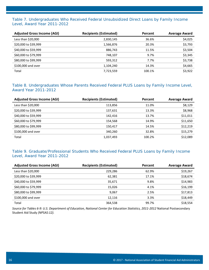## *Table 7. Undergraduates Who Received Federal Unsubsidized Direct Loans by Family Income Level, Award Year 2011-2012*

| <b>Adjusted Gross Income (AGI)</b> | <b>Recipients (Estimated)</b> | Percent | <b>Average Award</b> |
|------------------------------------|-------------------------------|---------|----------------------|
| Less than \$20,000                 | 2,830,145                     | 36.6%   | \$4,025              |
| \$20,000 to \$39,999               | 1,566,876                     | 20.3%   | \$3,793              |
| \$40,000 to \$59,999               | 886,743                       | 11.5%   | \$3,504              |
| \$60,000 to \$79,999               | 748,107                       | 9.7%    | \$3,345              |
| \$80,000 to \$99,999               | 593.312                       | 7.7%    | \$3,738              |
| \$100,000 and over                 | 1,104,240                     | 14.3%   | \$4,665              |
| Total                              | 7,723,559                     | 100.1%  | \$3,922              |

## *Table 8. Undergraduates Whose Parents Received Federal PLUS Loans by Family Income Level, Award Year 2011-2012*

| <b>Adjusted Gross Income (AGI)</b> | <b>Recipients (Estimated)</b> | Percent | <b>Average Award</b> |
|------------------------------------|-------------------------------|---------|----------------------|
| Less than \$20,000                 | 113,856                       | 11.0%   | \$8,129              |
| \$20,000 to \$39,999               | 137,631                       | 13.3%   | \$8,968              |
| \$40,000 to \$59,999               | 142,416                       | 13.7%   | \$11,011             |
| \$60,000 to \$79,999               | 154,568                       | 14.9%   | \$11,650             |
| \$80,000 to \$99,999               | 150,417                       | 14.5%   | \$12,219             |
| \$100,000 and over                 | 340,260                       | 32.8%   | \$15,279             |
| Total                              | 1,037,493                     | 100.2%  | \$12,089             |

## *Table 9. Graduate/Professional Students Who Received Federal PLUS Loans by Family Income Level, Award Year 2011-2012*

| <b>Adjusted Gross Income (AGI)</b> | <b>Recipients (Estimated)</b> | Percent | <b>Average Award</b> |
|------------------------------------|-------------------------------|---------|----------------------|
| Less than \$20,000                 | 229,286                       | 62.9%   | \$19,267             |
| \$20,000 to \$39,999               | 62,381                        | 17.1%   | \$18,674             |
| \$40,000 to \$59,999               | 35,671                        | 9.8%    | \$14,983             |
| \$60,000 to \$79,999               | 15,026                        | 4.1%    | \$16,199             |
| \$80,000 to \$99,999               | 9,067                         | 2.5%    | \$17,813             |
| \$100,000 and over                 | 12.116                        | 3.3%    | \$18,449             |
| Total                              | 364,538                       | 99.7%   | \$18,554             |

*Source for Tables 6-9: U.S. Department of Education, National Center for Education Statistics, 2011-2012* National Postsecondary Student Aid Study *(NPSAS:12).*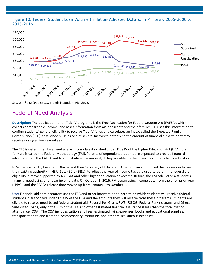*Figure 10. Federal Student Loan Volume (Inflation-Adjusted Dollars, in Millions), 2005-2006 to 2015-201*6



*Source: The College Board,* Trends in Student Aid, *2016.*

## Federal Need Analysis

**Description:** The application for all Title IV programs is the Free Application for Federal Student Aid (FAFSA), which collects demographic, income, and asset information from aid applicants and their families. ED uses this information to confirm students' general eligibility to receive Title IV funds and calculates an index, called the Expected Family Contribution (EFC), that schools use as one of several factors to determine the amount of financial aid a student may receive during a given award year.

The EFC is determined by a need analysis formula established under Title IV of the Higher Education Act (HEA); the formula is called the Federal Methodology (FM). Parents of dependent students are expected to provide financial information on the FAFSA and to contribute some amount, if they are able, to the financing of their child's education.

In September 2015, President Obama and then Secretary of Education Arne Duncan announced their intention to use their existing authority in HEA [Sec. 480(a)(B)(1)] to adjust the year of income tax data used to determine federal aid eligibility, a move supported by NASFAA and other higher education advocates. Before, the FM calculated a student's financial need using prior year income data. On October 1, 2016, FM began using income data from the prior-prior year ("PPY") and the FAFSA release date moved up from January 1 to October 1.

**Use:** Financial aid administrators use the EFC and other information to determine which students will receive federal student aid authorized under Title IV of the HEA and the amounts they will receive from these programs. Students are eligible to receive need-based federal student aid (Federal Pell Grant, FWS, FSEOG, Federal Perkins Loans, and Direct Subsidized Loans) only if the sum of the EFC and other estimated financial assistance is less than the total cost of attendance (COA). The COA includes tuition and fees, estimated living expenses, books and educational supplies, transportation to and from the postsecondary institution, and other miscellaneous expenses.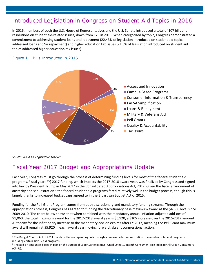## Introduced Legislation in Congress on Student Aid Topics in 2016

In 2016, members of both the U.S. House of Representatives and the U.S. Senate introduced a total of 107 bills and resolutions on student aid-related issues, down from 175 in 2015. When categorized by topic, Congress demonstrated a commitment to addressing student loans and repayment (22.43% of legislation introduced on student aid topics addressed loans and/or repayment) and higher education tax issues (21.5% of legislation introduced on student aid topics addressed higher education tax issues).

## *Figure 11. Bills Introduced in 2016*



*Source: NASFAA Legislative Tracker*

# Fiscal Year 2017 Budget and Appropriations Update

Each year, Congress must go through the process of determining funding levels for most of the federal student aid programs. Fiscal year (FY) 2017 funding, which impacts the 2017-2018 award year, was finalized by Congress and signed into law by President Trump in May 2017 in the Consolidated Appropriations Act, 2017. Given the fiscal environment of austerity and sequestration<sup>1</sup>, the federal student aid programs fared relatively well in the budget process, though this is largely thanks to increased budget caps agreed to in the Bipartisan Budget Act of 2015.

Funding for the Pell Grant Program comes from both discretionary and mandatory funding streams. Through the appropriations process, Congress has agreed to funding the discretionary base maximum award at the \$4,860 level since [2](#page-19-1)009-2010. The chart below shows that when combined with the mandatory annual inflation-adjusted add-on<sup>2</sup> of \$1,060, the total maximum award for the 2017-2018 award year is \$5,920, a \$105 increase over the 2016-2017 amount. Authority for the inflationary increase to the mandatory add-on expires after FY 2017, meaning the Pell Grant maximum award will remain at \$5,920 in each award year moving forward, absent congressional action.

<span id="page-19-0"></span><sup>&</sup>lt;sup>1</sup> The Budget Control Act of 2011 mandated federal spending cuts through a process called sequestration to a number of federal programs, including certain Title IV aid programs.

<span id="page-19-1"></span><sup>&</sup>lt;sup>2</sup> The add-on amount is based in part on the Bureau of Labor Statistics (BLS) Unadjusted 12-month Consumer Price Index for All Urban Consumers (CPI-U).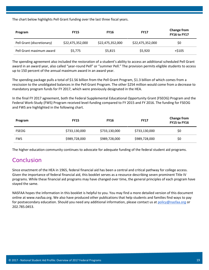The chart below highlights Pell Grant funding over the last three fiscal years.

| Program                    | <b>FY15</b>      | <b>FY16</b>      | <b>FY17</b>      | <b>Change from</b><br><b>FY16 to FY17</b> |
|----------------------------|------------------|------------------|------------------|-------------------------------------------|
| Pell Grant (discretionary) | \$22,475,352,000 | \$22,475,352,000 | \$22,475,352,000 | \$0                                       |
| Pell Grant maximum award   | S5.775           | \$5,815          | \$5,920          | $+5105$                                   |

The spending agreement also included the restoration of a student's ability to access an additional scheduled Pell Grant award in an award year, also called "year-round Pell" or "summer Pell." The provision permits eligible students to access up to 150 percent of the annual maximum award in an award year.

The spending package pulls a total of \$1.56 billion from the Pell Grant Program, \$1.3 billion of which comes from a rescission to the unobligated balances in the Pell Grant Program. The other \$254 million would come from a decrease to mandatory program funds for FY 2017, which were previously designated in the HEA.

In the final FY 2017 agreement, both the Federal Supplemental Educational Opportunity Grant (FSEOG) Program and the Federal Work-Study (FWS) Program received level-funding compared to FY 2015 and FY 2016. The funding for FSEOG and FWS are highlighted in the following chart.

| Program      | <b>FY15</b>   | <b>FY16</b>   | <b>FY17</b>   | <b>Change from</b><br><b>FY15 to FY16</b> |
|--------------|---------------|---------------|---------------|-------------------------------------------|
| <b>FSEOG</b> | \$733,130,000 | \$733,130,000 | \$733,130,000 | \$0                                       |
| <b>FWS</b>   | \$989,728,000 | \$989,728,000 | \$989,728,000 | \$0                                       |

The higher education community continues to advocate for adequate funding of the federal student aid programs.

## Conclusion

Since enactment of the HEA in 1965, federal financial aid has been a central and critical pathway for college access. Given the importance of federal financial aid, this booklet serves as a resource describing seven prominent Title IV programs. While these financial aid programs may have changed over time, the general principles of each program have stayed the same.

NASFAA hopes the information in this booklet is helpful to you. You may find a more detailed version of this document online at www.nasfaa.org. We also have produced other publications that help students and families find ways to pay for postsecondary education. Should you need any additional information, please contact us at [policy@nasfaa.org](mailto:policy@nasfaa.org) or 202.785.0453.